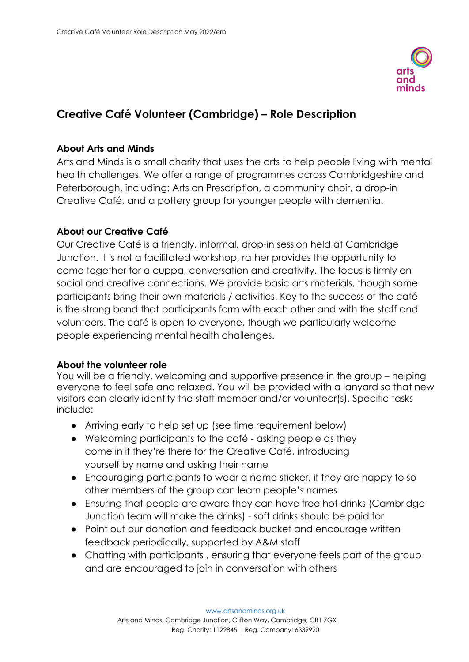

# **Creative Café Volunteer (Cambridge) – Role Description**

## **About Arts and Minds**

Arts and Minds is a small charity that uses the arts to help people living with mental health challenges. We offer a range of programmes across Cambridgeshire and Peterborough, including: Arts on Prescription, a community choir, a drop-in Creative Café, and a pottery group for younger people with dementia.

## **About our Creative Café**

Our Creative Café is a friendly, informal, drop-in session held at Cambridge Junction. It is not a facilitated workshop, rather provides the opportunity to come together for a cuppa, conversation and creativity. The focus is firmly on social and creative connections. We provide basic arts materials, though some participants bring their own materials / activities. Key to the success of the café is the strong bond that participants form with each other and with the staff and volunteers. The café is open to everyone, though we particularly welcome people experiencing mental health challenges.

#### **About the volunteer role**

You will be a friendly, welcoming and supportive presence in the group – helping everyone to feel safe and relaxed. You will be provided with a lanyard so that new visitors can clearly identify the staff member and/or volunteer(s). Specific tasks include:

- Arriving early to help set up (see time requirement below)
- Welcoming participants to the café asking people as they come in if they're there for the Creative Café, introducing yourself by name and asking their name
- Encouraging participants to wear a name sticker, if they are happy to so other members of the group can learn people's names
- Ensuring that people are aware they can have free hot drinks (Cambridge Junction team will make the drinks) - soft drinks should be paid for
- Point out our donation and feedback bucket and encourage written feedback periodically, supported by A&M staff
- Chatting with participants, ensuring that everyone feels part of the group and are encouraged to join in conversation with others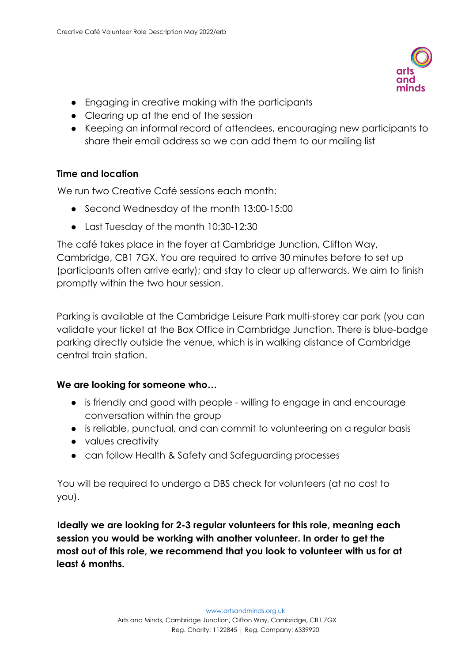

- Engaging in creative making with the participants
- Clearing up at the end of the session
- Keeping an informal record of attendees, encouraging new participants to share their email address so we can add them to our mailing list

#### **Time and location**

We run two Creative Café sessions each month:

- Second Wednesday of the month 13:00-15:00
- Last Tuesday of the month 10:30-12:30

The café takes place in the foyer at Cambridge Junction, Clifton Way, Cambridge, CB1 7GX. You are required to arrive 30 minutes before to set up (participants often arrive early); and stay to clear up afterwards. We aim to finish promptly within the two hour session.

Parking is available at the Cambridge Leisure Park multi-storey car park (you can validate your ticket at the Box Office in Cambridge Junction. There is blue-badge parking directly outside the venue, which is in walking distance of Cambridge central train station.

#### **We are looking for someone who…**

- is friendly and good with people willing to engage in and encourage conversation within the group
- is reliable, punctual, and can commit to volunteering on a regular basis
- values creativity
- can follow Health & Safety and Safeguarding processes

You will be required to undergo a DBS check for volunteers (at no cost to you).

**Ideally we are looking for 2-3 regular volunteers for this role, meaning each session you would be working with another volunteer. In order to get the most out of this role, we recommend that you look to volunteer with us for at least 6 months.**